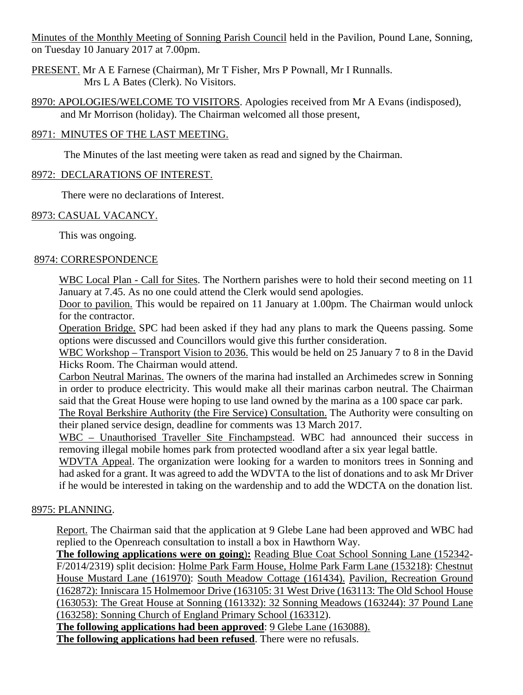Minutes of the Monthly Meeting of Sonning Parish Council held in the Pavilion, Pound Lane, Sonning, on Tuesday 10 January 2017 at 7.00pm.

- PRESENT. Mr A E Farnese (Chairman), Mr T Fisher, Mrs P Pownall, Mr I Runnalls. Mrs L A Bates (Clerk). No Visitors.
- 8970: APOLOGIES/WELCOME TO VISITORS. Apologies received from Mr A Evans (indisposed), and Mr Morrison (holiday). The Chairman welcomed all those present,

### 8971: MINUTES OF THE LAST MEETING.

The Minutes of the last meeting were taken as read and signed by the Chairman.

#### 8972: DECLARATIONS OF INTEREST.

There were no declarations of Interest.

#### 8973: CASUAL VACANCY.

This was ongoing.

#### 8974: CORRESPONDENCE

WBC Local Plan - Call for Sites. The Northern parishes were to hold their second meeting on 11 January at 7.45. As no one could attend the Clerk would send apologies.

Door to pavilion. This would be repaired on 11 January at 1.00pm. The Chairman would unlock for the contractor.

Operation Bridge. SPC had been asked if they had any plans to mark the Queens passing. Some options were discussed and Councillors would give this further consideration.

WBC Workshop – Transport Vision to 2036. This would be held on 25 January 7 to 8 in the David Hicks Room. The Chairman would attend.

Carbon Neutral Marinas. The owners of the marina had installed an Archimedes screw in Sonning in order to produce electricity. This would make all their marinas carbon neutral. The Chairman said that the Great House were hoping to use land owned by the marina as a 100 space car park.

The Royal Berkshire Authority (the Fire Service) Consultation. The Authority were consulting on their planed service design, deadline for comments was 13 March 2017.

WBC – Unauthorised Traveller Site Finchampstead. WBC had announced their success in removing illegal mobile homes park from protected woodland after a six year legal battle.

WDVTA Appeal. The organization were looking for a warden to monitors trees in Sonning and had asked for a grant. It was agreed to add the WDVTA to the list of donations and to ask Mr Driver if he would be interested in taking on the wardenship and to add the WDCTA on the donation list.

### 8975: PLANNING.

Report. The Chairman said that the application at 9 Glebe Lane had been approved and WBC had replied to the Openreach consultation to install a box in Hawthorn Way.

**The following applications were on going**)**:** Reading Blue Coat School Sonning Lane (152342- F/2014/2319) split decision: Holme Park Farm House, Holme Park Farm Lane (153218): Chestnut House Mustard Lane (161970): South Meadow Cottage (161434). Pavilion, Recreation Ground (162872): Inniscara 15 Holmemoor Drive (163105: 31 West Drive (163113: The Old School House (163053): The Great House at Sonning (161332): 32 Sonning Meadows (163244): 37 Pound Lane (163258): Sonning Church of England Primary School (163312).

**The following applications had been approved**: 9 Glebe Lane (163088). **The following applications had been refused**. There were no refusals.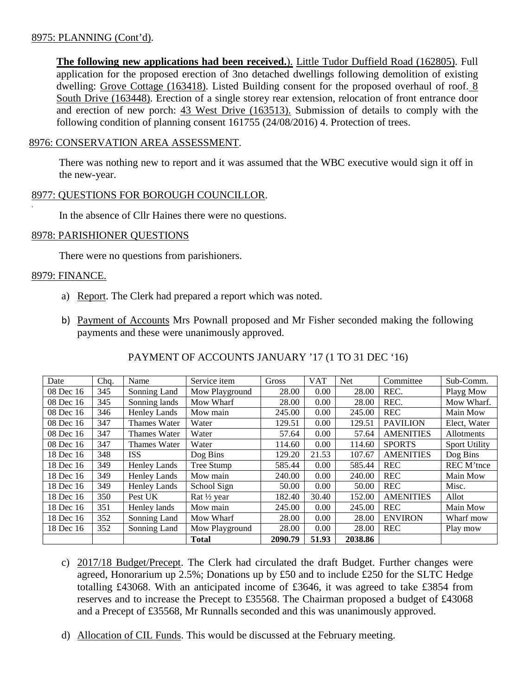#### 8975: PLANNING (Cont'd).

**The following new applications had been received.**). Little Tudor Duffield Road (162805). Full application for the proposed erection of 3no detached dwellings following demolition of existing dwelling: Grove Cottage (163418). Listed Building consent for the proposed overhaul of roof. 8 South Drive (163448). Erection of a single storey rear extension, relocation of front entrance door and erection of new porch: 43 West Drive (163513). Submission of details to comply with the following condition of planning consent 161755 (24/08/2016) 4. Protection of trees.

#### 8976: CONSERVATION AREA ASSESSMENT.

There was nothing new to report and it was assumed that the WBC executive would sign it off in the new-year.

#### 8977: QUESTIONS FOR BOROUGH COUNCILLOR.

In the absence of Cllr Haines there were no questions.

#### 8978: PARISHIONER QUESTIONS

There were no questions from parishioners.

#### 8979: FINANCE.

.

- a) Report. The Clerk had prepared a report which was noted.
- b) Payment of Accounts Mrs Pownall proposed and Mr Fisher seconded making the following payments and these were unanimously approved.

| Date      | Chq. | Name                | Service item   | Gross   | <b>VAT</b> | <b>Net</b> | Committee        | Sub-Comm.            |
|-----------|------|---------------------|----------------|---------|------------|------------|------------------|----------------------|
| 08 Dec 16 | 345  | Sonning Land        | Mow Playground | 28.00   | 0.00       | 28.00      | REC.             | Playg Mow            |
| 08 Dec 16 | 345  | Sonning lands       | Mow Wharf      | 28.00   | 0.00       | 28.00      | REC.             | Mow Wharf.           |
| 08 Dec 16 | 346  | <b>Henley Lands</b> | Mow main       | 245.00  | 0.00       | 245.00     | <b>REC</b>       | Main Mow             |
| 08 Dec 16 | 347  | <b>Thames Water</b> | Water          | 129.51  | 0.00       | 129.51     | <b>PAVILION</b>  | Elect, Water         |
| 08 Dec 16 | 347  | <b>Thames Water</b> | Water          | 57.64   | 0.00       | 57.64      | <b>AMENITIES</b> | Allotments           |
| 08 Dec 16 | 347  | <b>Thames Water</b> | Water          | 114.60  | 0.00       | 114.60     | <b>SPORTS</b>    | <b>Sport Utility</b> |
| 18 Dec 16 | 348  | ISS                 | Dog Bins       | 129.20  | 21.53      | 107.67     | <b>AMENITIES</b> | Dog Bins             |
| 18 Dec 16 | 349  | <b>Henley Lands</b> | Tree Stump     | 585.44  | 0.00       | 585.44     | <b>REC</b>       | REC M'tnce           |
| 18 Dec 16 | 349  | <b>Henley Lands</b> | Mow main       | 240.00  | 0.00       | 240.00     | <b>REC</b>       | Main Mow             |
| 18 Dec 16 | 349  | Henley Lands        | School Sign    | 50.00   | 0.00       | 50.00      | <b>REC</b>       | Misc.                |
| 18 Dec 16 | 350  | Pest UK             | Rat 1/2 year   | 182.40  | 30.40      | 152.00     | <b>AMENITIES</b> | Allot                |
| 18 Dec 16 | 351  | Henley lands        | Mow main       | 245.00  | 0.00       | 245.00     | <b>REC</b>       | Main Mow             |
| 18 Dec 16 | 352  | Sonning Land        | Mow Wharf      | 28.00   | 0.00       | 28.00      | <b>ENVIRON</b>   | Wharf mow            |
| 18 Dec 16 | 352  | Sonning Land        | Mow Playground | 28.00   | 0.00       | 28.00      | <b>REC</b>       | Play mow             |
|           |      |                     | <b>Total</b>   | 2090.79 | 51.93      | 2038.86    |                  |                      |

# PAYMENT OF ACCOUNTS JANUARY '17 (1 TO 31 DEC '16)

- c) 2017/18 Budget/Precept. The Clerk had circulated the draft Budget. Further changes were agreed, Honorarium up 2.5%; Donations up by £50 and to include £250 for the SLTC Hedge totalling £43068. With an anticipated income of £3646, it was agreed to take £3854 from reserves and to increase the Precept to £35568. The Chairman proposed a budget of £43068 and a Precept of £35568, Mr Runnalls seconded and this was unanimously approved.
- d) Allocation of CIL Funds. This would be discussed at the February meeting.